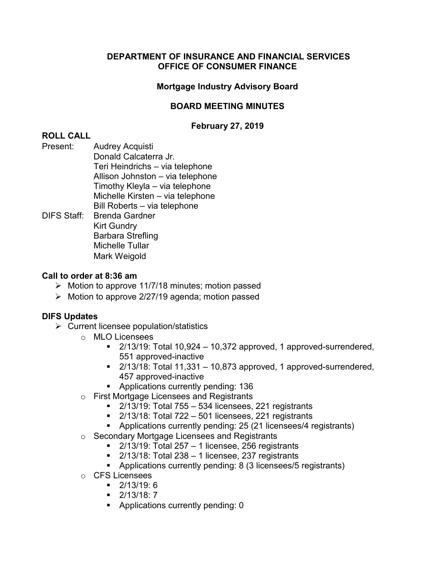## **Mortgage Industry Advisory Board**

## **BOARD MEETING MINUTES**

# **February 27, 2019**

## **ROLL CALL**

- Present: Audrey Acquisti Donald Calcaterra Jr. Teri Heindrichs – via telephone Allison Johnston – via telephone Timothy Kleyla – via telephone Michelle Kirsten – via telephone Bill Roberts – via telephone
- DIFS Staff: Brenda Gardner Kirt Gundry Barbara Strefling Michelle Tullar Mark Weigold

#### **Call to order at 8:36 am**

- $\triangleright$  Motion to approve 11/7/18 minutes; motion passed
- $\triangleright$  Motion to approve 2/27/19 agenda; motion passed

### **DIFS Updates**

- $\triangleright$  Current licensee population/statistics
	- o MLO Licensees
		- 2/13/19: Total 10,924 10,372 approved, 1 approved-surrendered, 551 approved-inactive
		- $\blacksquare$  2/13/18: Total 11,331 10,873 approved, 1 approved-surrendered, 457 approved-inactive
		- **Applications currently pending: 136**
	- o First Mortgage Licensees and Registrants
		- $\blacksquare$  2/13/19: Total 755 534 licensees, 221 registrants
		- $\blacksquare$  2/13/18: Total 722 501 licensees, 221 registrants
		- Applications currently pending: 25 (21 licensees/4 registrants)
	- o Secondary Mortgage Licensees and Registrants
		- $\blacksquare$  2/13/19: Total 257 1 licensee, 256 registrants
		- $\blacksquare$  2/13/18: Total 238 1 licensee, 237 registrants
		- Applications currently pending: 8 (3 licensees/5 registrants)
	- o CFS Licensees
		- 2/13/19: 6
		- $-2/13/18:7$
		- **Applications currently pending: 0**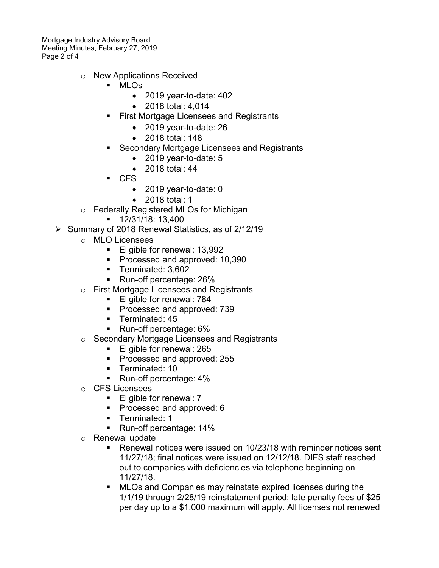Mortgage Industry Advisory Board Meeting Minutes, February 27, 2019 Page 2 of 4

- o New Applications Received
	- MLOs
		- 2019 year-to-date: 402
		- 2018 total: 4,014
	- First Mortgage Licensees and Registrants
		- 2019 year-to-date: 26
		- 2018 total: 148
	- Secondary Mortgage Licensees and Registrants
		- 2019 year-to-date: 5
		- 2018 total: 44
	- CFS
		- 2019 year-to-date: 0
		- 2018 total: 1
- o Federally Registered MLOs for Michigan
	- 12/31/18: 13,400
- $\triangleright$  Summary of 2018 Renewal Statistics, as of 2/12/19
	- o MLO Licensees
		- Eligible for renewal: 13,992
		- Processed and approved: 10,390
		- Terminated: 3,602
		- Run-off percentage: 26%
	- o First Mortgage Licensees and Registrants
		- **Eligible for renewal: 784**
		- **Processed and approved: 739**
		- **Terminated: 45**
		- Run-off percentage: 6%
	- o Secondary Mortgage Licensees and Registrants
		- **Eligible for renewal: 265**
		- Processed and approved: 255
		- **Terminated: 10**
		- Run-off percentage: 4%
	- o CFS Licensees
		- **Eligible for renewal: 7**
		- Processed and approved: 6
		- **Terminated: 1**
		- Run-off percentage: 14%
	- o Renewal update
		- Renewal notices were issued on 10/23/18 with reminder notices sent 11/27/18; final notices were issued on 12/12/18. DIFS staff reached out to companies with deficiencies via telephone beginning on 11/27/18.
		- MLOs and Companies may reinstate expired licenses during the 1/1/19 through 2/28/19 reinstatement period; late penalty fees of \$25 per day up to a \$1,000 maximum will apply. All licenses not renewed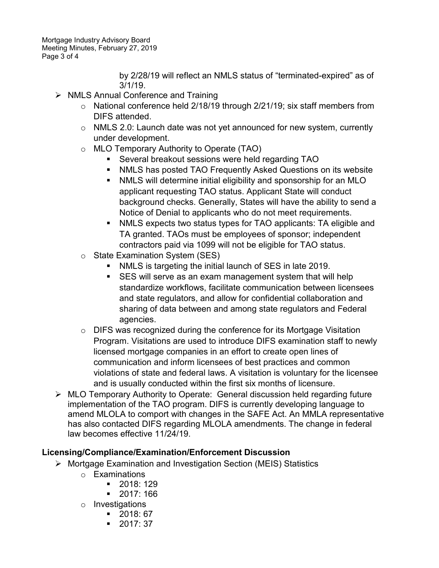Mortgage Industry Advisory Board Meeting Minutes, February 27, 2019 Page 3 of 4

> by 2/28/19 will reflect an NMLS status of "terminated-expired" as of 3/1/19.

- $\triangleright$  NMLS Annual Conference and Training
	- o National conference held 2/18/19 through 2/21/19; six staff members from DIFS attended.
	- $\circ$  NMLS 2.0: Launch date was not yet announced for new system, currently under development.
	- o MLO Temporary Authority to Operate (TAO)
		- Several breakout sessions were held regarding TAO
		- NMLS has posted TAO Frequently Asked Questions on its website
		- NMLS will determine initial eligibility and sponsorship for an MLO applicant requesting TAO status. Applicant State will conduct background checks. Generally, States will have the ability to send a Notice of Denial to applicants who do not meet requirements.
		- NMLS expects two status types for TAO applicants: TA eligible and TA granted. TAOs must be employees of sponsor; independent contractors paid via 1099 will not be eligible for TAO status.
	- o State Examination System (SES)
		- NMLS is targeting the initial launch of SES in late 2019.
		- SES will serve as an exam management system that will help standardize workflows, facilitate communication between licensees and state regulators, and allow for confidential collaboration and sharing of data between and among state regulators and Federal agencies.
	- $\circ$  DIFS was recognized during the conference for its Mortgage Visitation Program. Visitations are used to introduce DIFS examination staff to newly licensed mortgage companies in an effort to create open lines of communication and inform licensees of best practices and common violations of state and federal laws. A visitation is voluntary for the licensee and is usually conducted within the first six months of licensure.
- MLO Temporary Authority to Operate: General discussion held regarding future implementation of the TAO program. DIFS is currently developing language to amend MLOLA to comport with changes in the SAFE Act. An MMLA representative has also contacted DIFS regarding MLOLA amendments. The change in federal law becomes effective 11/24/19.

# **Licensing/Compliance/Examination/Enforcement Discussion**

- Mortgage Examination and Investigation Section (MEIS) Statistics
	- o Examinations
		- 2018: 129
		- 2017: 166
	- o Investigations
		- $-2018:67$
		- $-2017:37$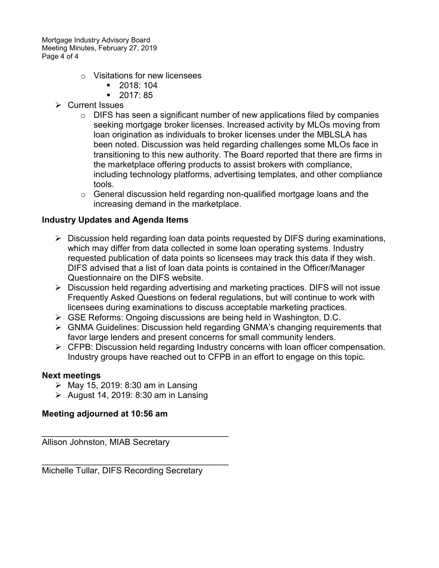Mortgage Industry Advisory Board Meeting Minutes, February 27, 2019 Page 4 of 4

- o Visitations for new licensees
	- $\blacksquare$  2018: 104
	- 2017: 85
- $\triangleright$  Current Issues
	- o DIFS has seen a significant number of new applications filed by companies seeking mortgage broker licenses. Increased activity by MLOs moving from loan origination as individuals to broker licenses under the MBLSLA has been noted. Discussion was held regarding challenges some MLOs face in transitioning to this new authority. The Board reported that there are firms in the marketplace offering products to assist brokers with compliance, including technology platforms, advertising templates, and other compliance tools.
	- o General discussion held regarding non-qualified mortgage loans and the increasing demand in the marketplace.

#### **Industry Updates and Agenda Items**

- $\triangleright$  Discussion held regarding loan data points requested by DIFS during examinations, which may differ from data collected in some loan operating systems. Industry requested publication of data points so licensees may track this data if they wish. DIFS advised that a list of loan data points is contained in the Officer/Manager Questionnaire on the DIFS website.
- Discussion held regarding advertising and marketing practices. DIFS will not issue Frequently Asked Questions on federal regulations, but will continue to work with licensees during examinations to discuss acceptable marketing practices.
- $\triangleright$  GSE Reforms: Ongoing discussions are being held in Washington, D.C.
- GNMA Guidelines: Discussion held regarding GNMA's changing requirements that favor large lenders and present concerns for small community lenders.
- $\triangleright$  CFPB: Discussion held regarding Industry concerns with loan officer compensation. Industry groups have reached out to CFPB in an effort to engage on this topic.

#### **Next meetings**

- $\triangleright$  May 15, 2019: 8:30 am in Lansing
- $\geq$  August 14, 2019: 8:30 am in Lansing

\_\_\_\_\_\_\_\_\_\_\_\_\_\_\_\_\_\_\_\_\_\_\_\_\_\_\_\_\_\_\_\_\_\_\_\_\_\_\_

### **Meeting adjourned at 10:56 am**

Allison Johnston, MIAB Secretary

\_\_\_\_\_\_\_\_\_\_\_\_\_\_\_\_\_\_\_\_\_\_\_\_\_\_\_\_\_\_\_\_\_\_\_\_\_\_\_ Michelle Tullar, DIFS Recording Secretary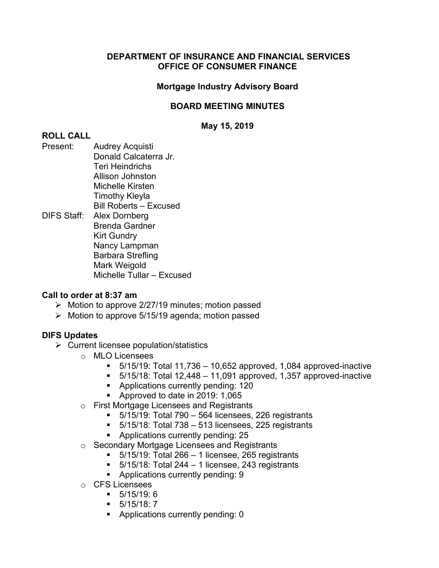#### **Mortgage Industry Advisory Board**

#### **BOARD MEETING MINUTES**

**May 15, 2019**

### **ROLL CALL**

- Present: Audrey Acquisti Donald Calcaterra Jr. Teri Heindrichs Allison Johnston Michelle Kirsten Timothy Kleyla Bill Roberts – Excused
- DIFS Staff: Alex Dornberg Brenda Gardner Kirt Gundry Nancy Lampman Barbara Strefling Mark Weigold Michelle Tullar – Excused

### **Call to order at 8:37 am**

- $\triangleright$  Motion to approve 2/27/19 minutes; motion passed
- $\triangleright$  Motion to approve 5/15/19 agenda; motion passed

### **DIFS Updates**

- $\triangleright$  Current licensee population/statistics
	- o MLO Licensees
		- $\blacksquare$  5/15/19: Total 11,736 10,652 approved, 1,084 approved-inactive
		- $\blacksquare$  5/15/18: Total 12,448 11,091 approved, 1,357 approved-inactive
		- **Applications currently pending: 120**
		- Approved to date in 2019: 1,065
	- o First Mortgage Licensees and Registrants
		- $\blacksquare$  5/15/19: Total 790 564 licensees, 226 registrants
		- 5/15/18: Total 738 513 licensees, 225 registrants
		- **Applications currently pending: 25**
	- o Secondary Mortgage Licensees and Registrants
		- $\blacksquare$  5/15/19: Total 266 1 licensee, 265 registrants
		- $\blacksquare$  5/15/18: Total 244 1 licensee, 243 registrants
		- **Applications currently pending: 9**
	- o CFS Licensees
		- $=$  5/15/19 6
		- $-5/15/18:7$
		- **Applications currently pending: 0**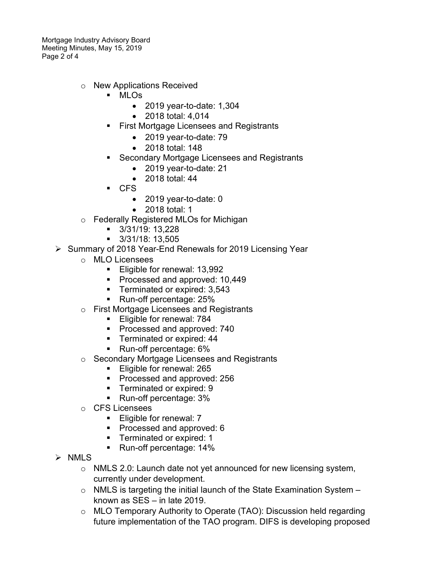Mortgage Industry Advisory Board Meeting Minutes, May 15, 2019 Page 2 of 4

- o New Applications Received
	- MLOs
		- 2019 year-to-date: 1,304
		- 2018 total: 4,014
	- **First Mortgage Licensees and Registrants** 
		- 2019 year-to-date: 79
		- 2018 total: 148
	- Secondary Mortgage Licensees and Registrants
		- 2019 year-to-date: 21
		- 2018 total: 44
	- CFS
		- 2019 year-to-date: 0
		- 2018 total: 1
- o Federally Registered MLOs for Michigan
	- 3/31/19: 13,228
	- 3/31/18: 13,505
- ▶ Summary of 2018 Year-End Renewals for 2019 Licensing Year
	- o MLO Licensees
		- **Eligible for renewal: 13,992**
		- Processed and approved: 10,449
		- Terminated or expired: 3,543
		- Run-off percentage: 25%
	- o First Mortgage Licensees and Registrants
		- **Eligible for renewal: 784**
		- Processed and approved: 740
		- **Terminated or expired: 44**
		- Run-off percentage: 6%
	- o Secondary Mortgage Licensees and Registrants
		- **Eligible for renewal: 265**
		- Processed and approved: 256
		- Terminated or expired: 9
		- Run-off percentage: 3%
	- o CFS Licensees
		- **Eligible for renewal: 7**
		- **Processed and approved: 6**
		- **Terminated or expired: 1**
		- Run-off percentage: 14%
- $\triangleright$  NMLS
	- o NMLS 2.0: Launch date not yet announced for new licensing system, currently under development.
	- o NMLS is targeting the initial launch of the State Examination System known as SES – in late 2019.
	- o MLO Temporary Authority to Operate (TAO): Discussion held regarding future implementation of the TAO program. DIFS is developing proposed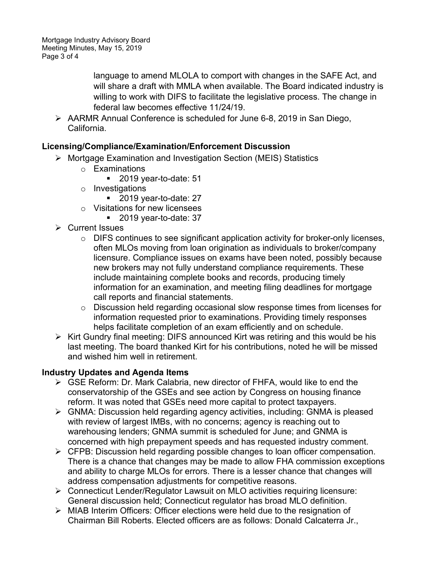Mortgage Industry Advisory Board Meeting Minutes, May 15, 2019 Page 3 of 4

> language to amend MLOLA to comport with changes in the SAFE Act, and will share a draft with MMLA when available. The Board indicated industry is willing to work with DIFS to facilitate the legislative process. The change in federal law becomes effective 11/24/19.

 AARMR Annual Conference is scheduled for June 6-8, 2019 in San Diego, California.

# **Licensing/Compliance/Examination/Enforcement Discussion**

- Mortgage Examination and Investigation Section (MEIS) Statistics
	- o Examinations
		- 2019 year-to-date: 51
	- o Investigations
		- 2019 year-to-date: 27
	- o Visitations for new licensees
		- 2019 year-to-date: 37
- **▶ Current Issues** 
	- o DIFS continues to see significant application activity for broker-only licenses, often MLOs moving from loan origination as individuals to broker/company licensure. Compliance issues on exams have been noted, possibly because new brokers may not fully understand compliance requirements. These include maintaining complete books and records, producing timely information for an examination, and meeting filing deadlines for mortgage call reports and financial statements.
	- o Discussion held regarding occasional slow response times from licenses for information requested prior to examinations. Providing timely responses helps facilitate completion of an exam efficiently and on schedule.
- $\triangleright$  Kirt Gundry final meeting: DIFS announced Kirt was retiring and this would be his last meeting. The board thanked Kirt for his contributions, noted he will be missed and wished him well in retirement.

# **Industry Updates and Agenda Items**

- GSE Reform: Dr. Mark Calabria, new director of FHFA, would like to end the conservatorship of the GSEs and see action by Congress on housing finance reform. It was noted that GSEs need more capital to protect taxpayers.
- GNMA: Discussion held regarding agency activities, including: GNMA is pleased with review of largest IMBs, with no concerns; agency is reaching out to warehousing lenders; GNMA summit is scheduled for June; and GNMA is concerned with high prepayment speeds and has requested industry comment.
- CFPB: Discussion held regarding possible changes to loan officer compensation. There is a chance that changes may be made to allow FHA commission exceptions and ability to charge MLOs for errors. There is a lesser chance that changes will address compensation adjustments for competitive reasons.
- Connecticut Lender/Regulator Lawsuit on MLO activities requiring licensure: General discussion held; Connecticut regulator has broad MLO definition.
- MIAB Interim Officers: Officer elections were held due to the resignation of Chairman Bill Roberts. Elected officers are as follows: Donald Calcaterra Jr.,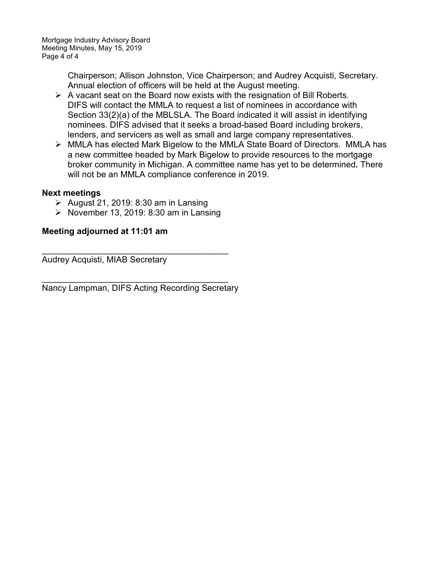Mortgage Industry Advisory Board Meeting Minutes, May 15, 2019 Page 4 of 4

> Chairperson; Allison Johnston, Vice Chairperson; and Audrey Acquisti, Secretary. Annual election of officers will be held at the August meeting.

- $\triangleright$  A vacant seat on the Board now exists with the resignation of Bill Roberts. DIFS will contact the MMLA to request a list of nominees in accordance with Section 33(2)(a) of the MBLSLA. The Board indicated it will assist in identifying nominees. DIFS advised that it seeks a broad-based Board including brokers, lenders, and servicers as well as small and large company representatives.
- MMLA has elected Mark Bigelow to the MMLA State Board of Directors. MMLA has a new committee headed by Mark Bigelow to provide resources to the mortgage broker community in Michigan. A committee name has yet to be determined**.** There will not be an MMLA compliance conference in 2019.

## **Next meetings**

- August 21, 2019: 8:30 am in Lansing
- November 13, 2019: 8:30 am in Lansing

\_\_\_\_\_\_\_\_\_\_\_\_\_\_\_\_\_\_\_\_\_\_\_\_\_\_\_\_\_\_\_\_\_\_\_\_\_\_\_

# **Meeting adjourned at 11:01 am**

Audrey Acquisti, MIAB Secretary

\_\_\_\_\_\_\_\_\_\_\_\_\_\_\_\_\_\_\_\_\_\_\_\_\_\_\_\_\_\_\_\_\_\_\_\_\_\_\_ Nancy Lampman, DIFS Acting Recording Secretary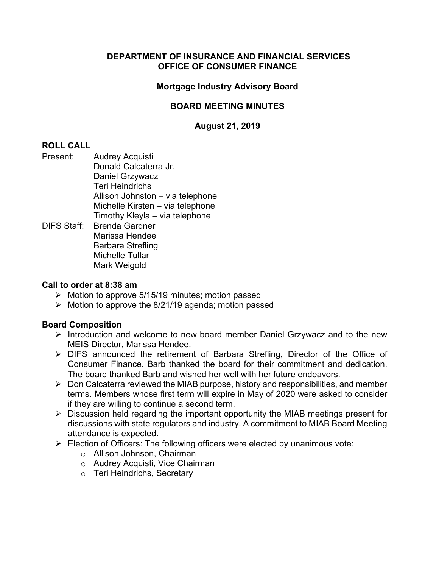#### **Mortgage Industry Advisory Board**

### **BOARD MEETING MINUTES**

### **August 21, 2019**

### **ROLL CALL**

- Present: Audrey Acquisti Donald Calcaterra Jr. Daniel Grzywacz Teri Heindrichs Allison Johnston – via telephone Michelle Kirsten – via telephone Timothy Kleyla – via telephone DIFS Staff: Brenda Gardner Marissa Hendee
	- Barbara Strefling Michelle Tullar Mark Weigold

#### **Call to order at 8:38 am**

- $\triangleright$  Motion to approve 5/15/19 minutes; motion passed
- $\triangleright$  Motion to approve the 8/21/19 agenda; motion passed

### **Board Composition**

- $\triangleright$  Introduction and welcome to new board member Daniel Grzywacz and to the new MEIS Director, Marissa Hendee.
- DIFS announced the retirement of Barbara Strefling, Director of the Office of Consumer Finance. Barb thanked the board for their commitment and dedication. The board thanked Barb and wished her well with her future endeavors.
- $\triangleright$  Don Calcaterra reviewed the MIAB purpose, history and responsibilities, and member terms. Members whose first term will expire in May of 2020 were asked to consider if they are willing to continue a second term.
- $\triangleright$  Discussion held regarding the important opportunity the MIAB meetings present for discussions with state regulators and industry. A commitment to MIAB Board Meeting attendance is expected.
- $\triangleright$  Election of Officers: The following officers were elected by unanimous vote:
	- o Allison Johnson, Chairman
	- o Audrey Acquisti, Vice Chairman
	- o Teri Heindrichs, Secretary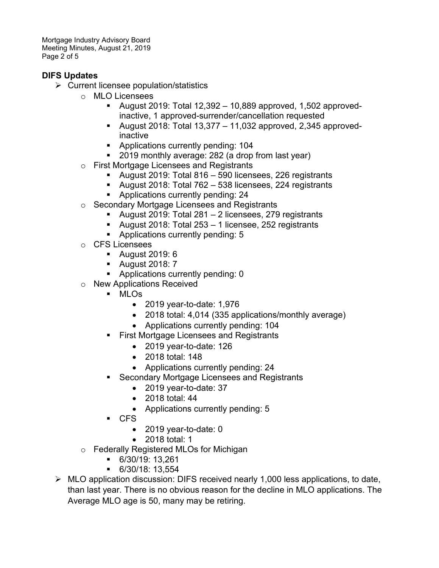Mortgage Industry Advisory Board Meeting Minutes, August 21, 2019 Page 2 of 5

# **DIFS Updates**

- $\triangleright$  Current licensee population/statistics
	- o MLO Licensees
		- $\blacksquare$  August 2019: Total 12,392 10,889 approved, 1,502 approvedinactive, 1 approved-surrender/cancellation requested
		- August 2018: Total  $13,377 11,032$  approved, 2,345 approvedinactive
		- **Applications currently pending: 104**
		- 2019 monthly average: 282 (a drop from last year)
	- o First Mortgage Licensees and Registrants
		- August 2019: Total 816 590 licensees, 226 registrants
		- August 2018: Total 762 538 licensees, 224 registrants
		- Applications currently pending: 24
	- o Secondary Mortgage Licensees and Registrants
		- August 2019: Total 281 2 licensees, 279 registrants
		- August 2018: Total 253 1 licensee, 252 registrants
		- Applications currently pending: 5
	- o CFS Licensees
		- August 2019: 6
		- **August 2018: 7**
		- **Applications currently pending: 0**
	- o New Applications Received
		- MLOs
			- 2019 year-to-date: 1,976
			- 2018 total: 4,014 (335 applications/monthly average)
			- Applications currently pending: 104
		- First Mortgage Licensees and Registrants
			- 2019 year-to-date: 126
			- 2018 total: 148
			- Applications currently pending: 24
			- Secondary Mortgage Licensees and Registrants
				- 2019 year-to-date: 37
				- 2018 total: 44
				- Applications currently pending: 5
		- CFS
			- 2019 year-to-date: 0
			- 2018 total: 1
	- o Federally Registered MLOs for Michigan
		- 6/30/19: 13,261
		- 6/30/18: 13,554
- MLO application discussion: DIFS received nearly 1,000 less applications, to date, than last year. There is no obvious reason for the decline in MLO applications. The Average MLO age is 50, many may be retiring.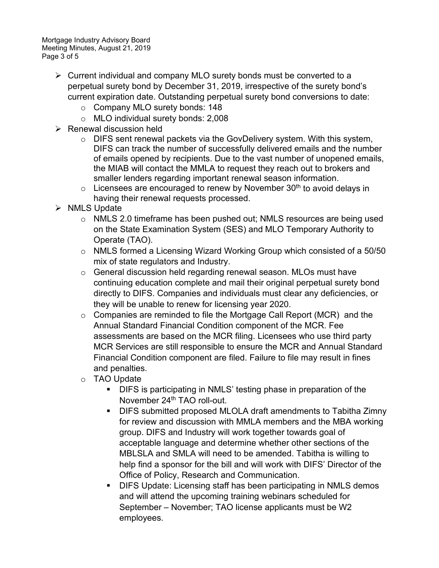Mortgage Industry Advisory Board Meeting Minutes, August 21, 2019 Page 3 of 5

- $\triangleright$  Current individual and company MLO surety bonds must be converted to a perpetual surety bond by December 31, 2019, irrespective of the surety bond's current expiration date. Outstanding perpetual surety bond conversions to date:
	- o Company MLO surety bonds: 148
	- o MLO individual surety bonds: 2,008
- $\triangleright$  Renewal discussion held
	- o DIFS sent renewal packets via the GovDelivery system. With this system, DIFS can track the number of successfully delivered emails and the number of emails opened by recipients. Due to the vast number of unopened emails, the MIAB will contact the MMLA to request they reach out to brokers and smaller lenders regarding important renewal season information.
	- $\circ$  Licensees are encouraged to renew by November 30<sup>th</sup> to avoid delays in having their renewal requests processed.
- $\triangleright$  NMLS Update
	- o NMLS 2.0 timeframe has been pushed out; NMLS resources are being used on the State Examination System (SES) and MLO Temporary Authority to Operate (TAO).
	- o NMLS formed a Licensing Wizard Working Group which consisted of a 50/50 mix of state regulators and Industry.
	- o General discussion held regarding renewal season. MLOs must have continuing education complete and mail their original perpetual surety bond directly to DIFS. Companies and individuals must clear any deficiencies, or they will be unable to renew for licensing year 2020.
	- o Companies are reminded to file the Mortgage Call Report (MCR) and the Annual Standard Financial Condition component of the MCR. Fee assessments are based on the MCR filing. Licensees who use third party MCR Services are still responsible to ensure the MCR and Annual Standard Financial Condition component are filed. Failure to file may result in fines and penalties.
	- o TAO Update
		- **DIFS** is participating in NMLS' testing phase in preparation of the November 24<sup>th</sup> TAO roll-out.
		- DIFS submitted proposed MLOLA draft amendments to Tabitha Zimny for review and discussion with MMLA members and the MBA working group. DIFS and Industry will work together towards goal of acceptable language and determine whether other sections of the MBLSLA and SMLA will need to be amended. Tabitha is willing to help find a sponsor for the bill and will work with DIFS' Director of the Office of Policy, Research and Communication.
		- DIFS Update: Licensing staff has been participating in NMLS demos and will attend the upcoming training webinars scheduled for September – November; TAO license applicants must be W2 employees.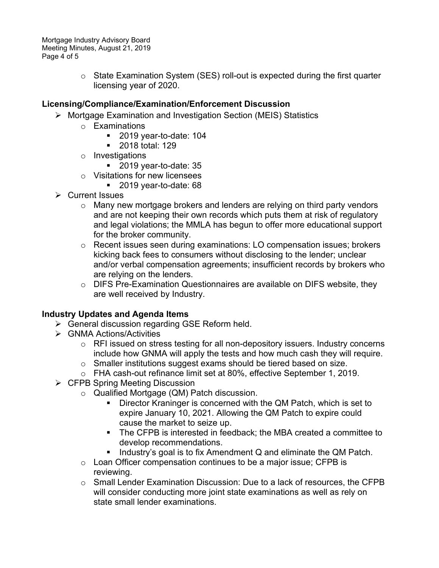Mortgage Industry Advisory Board Meeting Minutes, August 21, 2019 Page 4 of 5

> o State Examination System (SES) roll-out is expected during the first quarter licensing year of 2020.

# **Licensing/Compliance/Examination/Enforcement Discussion**

- Mortgage Examination and Investigation Section (MEIS) Statistics
	- o Examinations
		- 2019 year-to-date: 104
		- 2018 total: 129
	- o Investigations
		- 2019 year-to-date: 35
	- o Visitations for new licensees
		- 2019 year-to-date: 68
- **▶ Current Issues** 
	- o Many new mortgage brokers and lenders are relying on third party vendors and are not keeping their own records which puts them at risk of regulatory and legal violations; the MMLA has begun to offer more educational support for the broker community.
	- o Recent issues seen during examinations: LO compensation issues; brokers kicking back fees to consumers without disclosing to the lender; unclear and/or verbal compensation agreements; insufficient records by brokers who are relying on the lenders.
	- o DIFS Pre-Examination Questionnaires are available on DIFS website, they are well received by Industry.

# **Industry Updates and Agenda Items**

- $\triangleright$  General discussion regarding GSE Reform held.
- $\triangleright$  GNMA Actions/Activities
	- o RFI issued on stress testing for all non-depository issuers. Industry concerns include how GNMA will apply the tests and how much cash they will require.
	- o Smaller institutions suggest exams should be tiered based on size.
	- o FHA cash-out refinance limit set at 80%, effective September 1, 2019.
- **► CFPB Spring Meeting Discussion** 
	- o Qualified Mortgage (QM) Patch discussion.
		- **Director Kraninger is concerned with the QM Patch, which is set to** expire January 10, 2021. Allowing the QM Patch to expire could cause the market to seize up.
		- The CFPB is interested in feedback; the MBA created a committee to develop recommendations.
		- Industry's goal is to fix Amendment Q and eliminate the QM Patch.
	- o Loan Officer compensation continues to be a major issue; CFPB is reviewing.
	- o Small Lender Examination Discussion: Due to a lack of resources, the CFPB will consider conducting more joint state examinations as well as rely on state small lender examinations.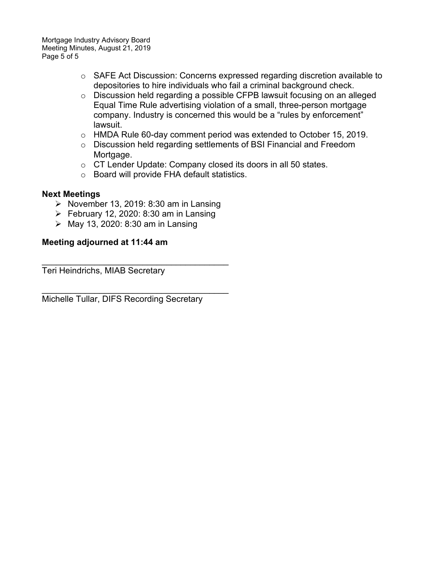- o SAFE Act Discussion: Concerns expressed regarding discretion available to depositories to hire individuals who fail a criminal background check.
- o Discussion held regarding a possible CFPB lawsuit focusing on an alleged Equal Time Rule advertising violation of a small, three-person mortgage company. Industry is concerned this would be a "rules by enforcement" lawsuit.
- o HMDA Rule 60-day comment period was extended to October 15, 2019.
- o Discussion held regarding settlements of BSI Financial and Freedom Mortgage.
- o CT Lender Update: Company closed its doors in all 50 states.
- o Board will provide FHA default statistics.

## **Next Meetings**

- November 13, 2019: 8:30 am in Lansing
- $\triangleright$  February 12, 2020: 8:30 am in Lansing

\_\_\_\_\_\_\_\_\_\_\_\_\_\_\_\_\_\_\_\_\_\_\_\_\_\_\_\_\_\_\_\_\_\_\_\_\_\_\_

 $\triangleright$  May 13, 2020: 8:30 am in Lansing

# **Meeting adjourned at 11:44 am**

Teri Heindrichs, MIAB Secretary

\_\_\_\_\_\_\_\_\_\_\_\_\_\_\_\_\_\_\_\_\_\_\_\_\_\_\_\_\_\_\_\_\_\_\_\_\_\_\_ Michelle Tullar, DIFS Recording Secretary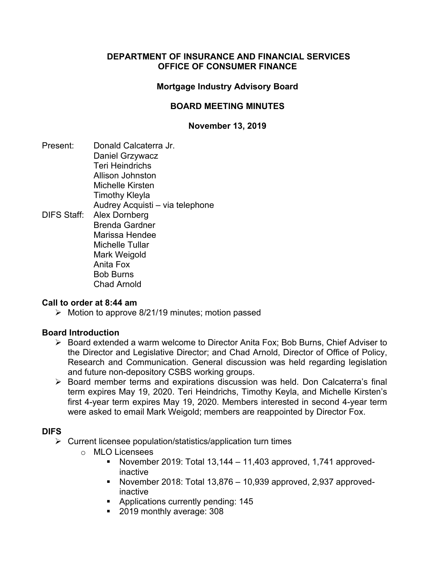#### **Mortgage Industry Advisory Board**

#### **BOARD MEETING MINUTES**

**November 13, 2019**

- Present: Donald Calcaterra Jr. Daniel Grzywacz Teri Heindrichs Allison Johnston Michelle Kirsten Timothy Kleyla Audrey Acquisti – via telephone DIFS Staff: Alex Dornberg Brenda Gardner
- Marissa Hendee Michelle Tullar Mark Weigold Anita Fox Bob Burns Chad Arnold

#### **Call to order at 8:44 am**

> Motion to approve 8/21/19 minutes; motion passed

#### **Board Introduction**

- Board extended a warm welcome to Director Anita Fox; Bob Burns, Chief Adviser to the Director and Legislative Director; and Chad Arnold, Director of Office of Policy, Research and Communication. General discussion was held regarding legislation and future non-depository CSBS working groups.
- $\triangleright$  Board member terms and expirations discussion was held. Don Calcaterra's final term expires May 19, 2020. Teri Heindrichs, Timothy Keyla, and Michelle Kirsten's first 4-year term expires May 19, 2020. Members interested in second 4-year term were asked to email Mark Weigold; members are reappointed by Director Fox.

### **DIFS**

- $\triangleright$  Current licensee population/statistics/application turn times
	- o MLO Licensees
		- November 2019: Total 13,144 11,403 approved, 1,741 approvedinactive
		- November 2018: Total  $13,876 10,939$  approved, 2,937 approvedinactive
		- **Applications currently pending: 145**
		- 2019 monthly average: 308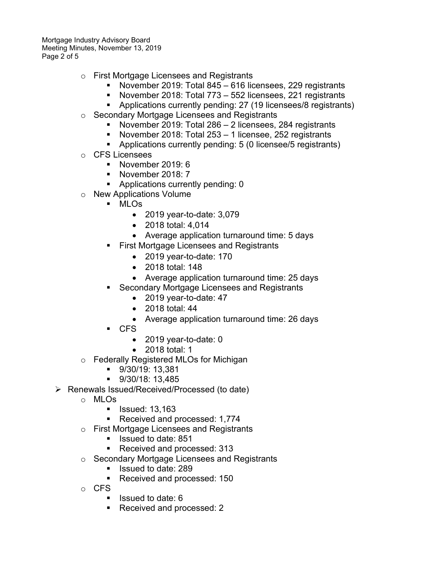Mortgage Industry Advisory Board Meeting Minutes, November 13, 2019 Page 2 of 5

- o First Mortgage Licensees and Registrants
	- November 2019: Total 845 616 licensees, 229 registrants
	- November 2018: Total 773 552 licensees, 221 registrants
	- Applications currently pending: 27 (19 licensees/8 registrants)
- o Secondary Mortgage Licensees and Registrants
	- November 2019: Total 286 2 licensees, 284 registrants
	- November 2018: Total 253 1 licensee, 252 registrants
	- Applications currently pending: 5 (0 licensee/5 registrants)
- o CFS Licensees
	- November 2019: 6
	- November 2018: 7
	- **•** Applications currently pending: 0
- o New Applications Volume
	- MLOs
		- 2019 year-to-date: 3,079
		- 2018 total: 4,014
		- Average application turnaround time: 5 days
	- First Mortgage Licensees and Registrants
		- 2019 year-to-date: 170
		- 2018 total: 148
		- Average application turnaround time: 25 days
	- Secondary Mortgage Licensees and Registrants
		- 2019 year-to-date: 47
		- 2018 total: 44
		- Average application turnaround time: 26 days
	- CFS
		- 2019 year-to-date: 0
		- 2018 total: 1
- o Federally Registered MLOs for Michigan
	- 9/30/19: 13,381
	- 9/30/18: 13,485
- Renewals Issued/Received/Processed (to date)
	- o MLOs
		- Issued: 13,163
		- Received and processed: 1,774
	- o First Mortgage Licensees and Registrants
		- Issued to date: 851
		- Received and processed: 313
	- o Secondary Mortgage Licensees and Registrants
		- Issued to date: 289
		- Received and processed: 150
	- o CFS
		- $\blacksquare$  Issued to date: 6
		- Received and processed: 2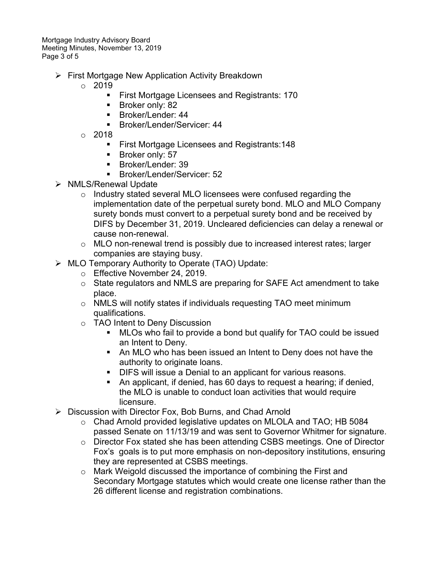Mortgage Industry Advisory Board Meeting Minutes, November 13, 2019 Page 3 of 5

- First Mortgage New Application Activity Breakdown
	- $\degree$  2019
		- **First Mortgage Licensees and Registrants: 170**
		- **Broker only: 82**
		- **Broker/Lender: 44**
		- **Broker/Lender/Servicer: 44**
	- $\circ$  2018
		- First Mortgage Licensees and Registrants:148
		- Broker only: 57
		- Broker/Lender: 39
		- **Broker/Lender/Servicer: 52**
- $\triangleright$  NMLS/Renewal Update
	- o Industry stated several MLO licensees were confused regarding the implementation date of the perpetual surety bond. MLO and MLO Company surety bonds must convert to a perpetual surety bond and be received by DIFS by December 31, 2019. Uncleared deficiencies can delay a renewal or cause non-renewal.
	- o MLO non-renewal trend is possibly due to increased interest rates; larger companies are staying busy.
- MLO Temporary Authority to Operate (TAO) Update:
	- o Effective November 24, 2019.
	- o State regulators and NMLS are preparing for SAFE Act amendment to take place.
	- o NMLS will notify states if individuals requesting TAO meet minimum qualifications.
	- o TAO Intent to Deny Discussion
		- MLOs who fail to provide a bond but qualify for TAO could be issued an Intent to Deny.
		- An MLO who has been issued an Intent to Deny does not have the authority to originate loans.
		- **DIFS** will issue a Denial to an applicant for various reasons.
		- An applicant, if denied, has 60 days to request a hearing; if denied, the MLO is unable to conduct loan activities that would require licensure.
- ▶ Discussion with Director Fox, Bob Burns, and Chad Arnold
	- o Chad Arnold provided legislative updates on MLOLA and TAO; HB 5084 passed Senate on 11/13/19 and was sent to Governor Whitmer for signature.
	- o Director Fox stated she has been attending CSBS meetings. One of Director Fox's goals is to put more emphasis on non-depository institutions, ensuring they are represented at CSBS meetings.
	- o Mark Weigold discussed the importance of combining the First and Secondary Mortgage statutes which would create one license rather than the 26 different license and registration combinations.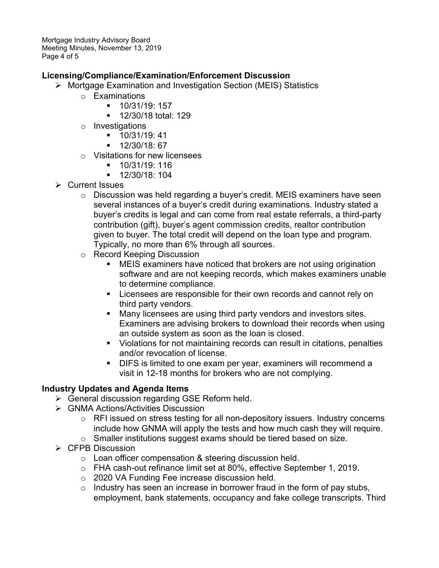Mortgage Industry Advisory Board Meeting Minutes, November 13, 2019 Page 4 of 5

# **Licensing/Compliance/Examination/Enforcement Discussion**

- Mortgage Examination and Investigation Section (MEIS) Statistics
	- o Examinations
		- $10/31/19:157$
		- 12/30/18 total: 129
	- o Investigations
		- $\blacksquare$  10/31/19:41<br> $\blacksquare$  12/30/18:47
		- 12/30/18: 67
	- o Visitations for new licensees
		- 10/31/19: 116
		- $\blacksquare$  12/30/18: 104
- **▶ Current Issues** 
	- $\circ$  Discussion was held regarding a buyer's credit. MEIS examiners have seen several instances of a buyer's credit during examinations. Industry stated a buyer's credits is legal and can come from real estate referrals, a third-party contribution (gift), buyer's agent commission credits, realtor contribution given to buyer. The total credit will depend on the loan type and program. Typically, no more than 6% through all sources.
	- o Record Keeping Discussion
		- MEIS examiners have noticed that brokers are not using origination software and are not keeping records, which makes examiners unable to determine compliance.
		- **EXECT** Licensees are responsible for their own records and cannot rely on third party vendors.
		- **Many licensees are using third party vendors and investors sites.** Examiners are advising brokers to download their records when using an outside system as soon as the loan is closed.
		- Violations for not maintaining records can result in citations, penalties and/or revocation of license.
		- **DIFS** is limited to one exam per year, examiners will recommend a visit in 12-18 months for brokers who are not complying.

### **Industry Updates and Agenda Items**

- $\triangleright$  General discussion regarding GSE Reform held.
- **► GNMA Actions/Activities Discussion** 
	- o RFI issued on stress testing for all non-depository issuers. Industry concerns include how GNMA will apply the tests and how much cash they will require.
	- o Smaller institutions suggest exams should be tiered based on size.
- **≻** CFPB Discussion
	- o Loan officer compensation & steering discussion held.
	- o FHA cash-out refinance limit set at 80%, effective September 1, 2019.
	- o 2020 VA Funding Fee increase discussion held.
	- $\circ$  Industry has seen an increase in borrower fraud in the form of pay stubs, employment, bank statements, occupancy and fake college transcripts. Third